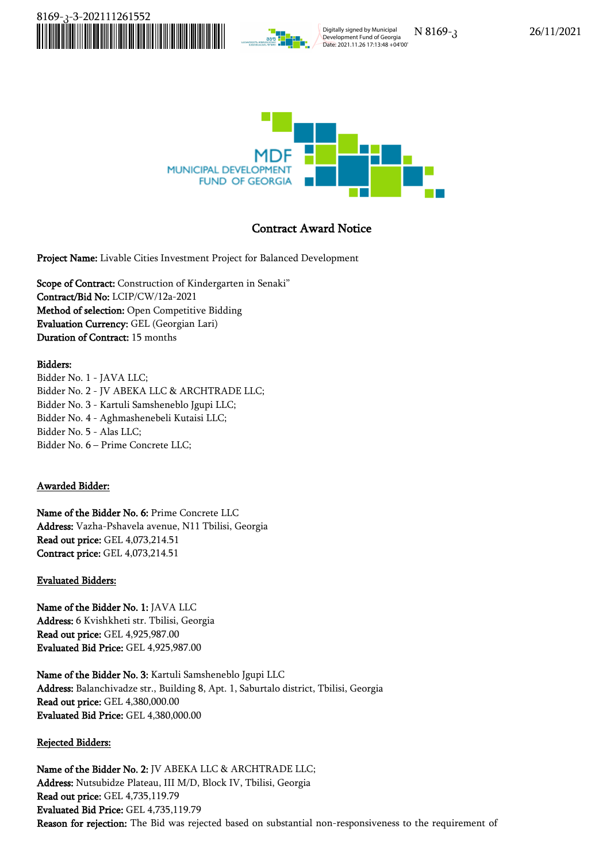

Digitally signed by Municipal Development Fund of Georgia Date: 2021.11.26 17:13:48 +04'00'

N 8169-კ 26/11/2021



# **Contract Award Notice**

**Project Name:** Livable Cities Investment Project for Balanced Development

**Scope of Contract:** Construction of Kindergarten in Senaki" **Contract/Bid No:** LCIP/CW/12a-2021 **Method of selection:** Open Competitive Bidding **Evaluation Currency:** GEL (Georgian Lari) **Duration of Contract:** 15 months

### **Bidders:**

Bidder No. 1 - JAVA LLC; Bidder No. 2 - JV ABEKA LLC & ARCHTRADE LLC; Bidder No. 3 - Kartuli Samsheneblo Jgupi LLC; Bidder No. 4 - Aghmashenebeli Kutaisi LLC; Bidder No. 5 - Alas LLC; Bidder No. 6 – Prime Concrete LLC;

## **Awarded Bidder:**

**Name of the Bidder No. 6:** Prime Concrete LLC **Address:** Vazha-Pshavela avenue, N11 Tbilisi, Georgia **Read out price:** GEL 4,073,214.51 **Contract price:** GEL 4,073,214.51

### **Evaluated Bidders:**

**Name of the Bidder No. 1:** JAVA LLC **Address:** 6 Kvishkheti str. Tbilisi, Georgia **Read out price:** GEL 4,925,987.00 **Evaluated Bid Price:** GEL 4,925,987.00

**Name of the Bidder No. 3:** Kartuli Samsheneblo Jgupi LLC **Address:** Balanchivadze str., Building 8, Apt. 1, Saburtalo district, Tbilisi, Georgia **Read out price:** GEL 4,380,000.00 **Evaluated Bid Price:** GEL 4,380,000.00

### **Rejected Bidders:**

**Name of the Bidder No. 2:** JV ABEKA LLC & ARCHTRADE LLC; **Address:** Nutsubidze Plateau, III M/D, Block IV, Tbilisi, Georgia **Read out price:** GEL 4,735,119.79 **Evaluated Bid Price:** GEL 4,735,119.79 **Reason for rejection:** The Bid was rejected based on substantial non-responsiveness to the requirement of